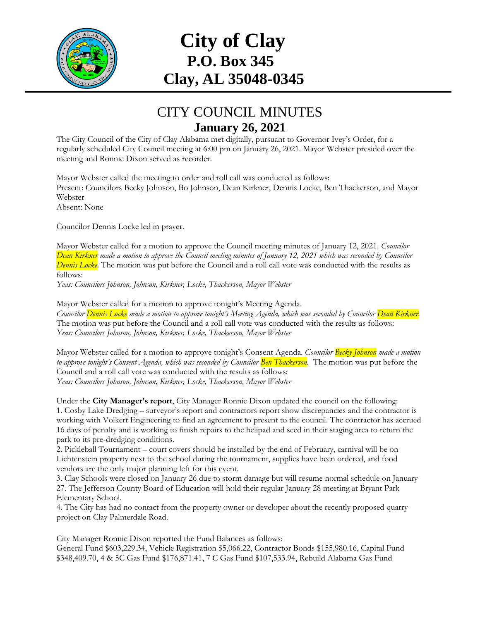

## **City of Clay P.O. Box 345 Clay, AL 35048-0345**

## CITY COUNCIL MINUTES **January 26, 2021**

The City Council of the City of Clay Alabama met digitally, pursuant to Governor Ivey's Order, for a regularly scheduled City Council meeting at 6:00 pm on January 26, 2021. Mayor Webster presided over the meeting and Ronnie Dixon served as recorder.

Mayor Webster called the meeting to order and roll call was conducted as follows: Present: Councilors Becky Johnson, Bo Johnson, Dean Kirkner, Dennis Locke, Ben Thackerson, and Mayor Webster Absent: None

Councilor Dennis Locke led in prayer.

Mayor Webster called for a motion to approve the Council meeting minutes of January 12, 2021. *Councilor Dean Kirkner made a motion to approve the Council meeting minutes of January 12, 2021 which was seconded by Councilor Dennis Locke.* The motion was put before the Council and a roll call vote was conducted with the results as follows:

*Yeas: Councilors Johnson, Johnson, Kirkner, Locke, Thackerson, Mayor Webster* 

Mayor Webster called for a motion to approve tonight's Meeting Agenda. *Councilor Dennis Locke made a motion to approve tonight's Meeting Agenda, which was seconded by Councilor Dean Kirkner.* The motion was put before the Council and a roll call vote was conducted with the results as follows: *Yeas: Councilors Johnson, Johnson, Kirkner, Locke, Thackerson, Mayor Webster* 

Mayor Webster called for a motion to approve tonight's Consent Agenda. *Councilor Becky Johnson made a motion to approve tonight's Consent Agenda, which was seconded by Councilor Ben Thackerson. The motion was put before the* Council and a roll call vote was conducted with the results as follows: *Yeas: Councilors Johnson, Johnson, Kirkner, Locke, Thackerson, Mayor Webster*

Under the **City Manager's report**, City Manager Ronnie Dixon updated the council on the following: 1. Cosby Lake Dredging – surveyor's report and contractors report show discrepancies and the contractor is working with Volkert Engineering to find an agreement to present to the council. The contractor has accrued 16 days of penalty and is working to finish repairs to the helipad and seed in their staging area to return the park to its pre-dredging conditions.

2. Pickleball Tournament – court covers should be installed by the end of February, carnival will be on Lichtenstein property next to the school during the tournament, supplies have been ordered, and food vendors are the only major planning left for this event.

3. Clay Schools were closed on January 26 due to storm damage but will resume normal schedule on January 27. The Jefferson County Board of Education will hold their regular January 28 meeting at Bryant Park Elementary School.

4. The City has had no contact from the property owner or developer about the recently proposed quarry project on Clay Palmerdale Road.

City Manager Ronnie Dixon reported the Fund Balances as follows:

General Fund \$603,229.34, Vehicle Registration \$5,066.22, Contractor Bonds \$155,980.16, Capital Fund \$348,409.70, 4 & 5C Gas Fund \$176,871.41, 7 C Gas Fund \$107,533.94, Rebuild Alabama Gas Fund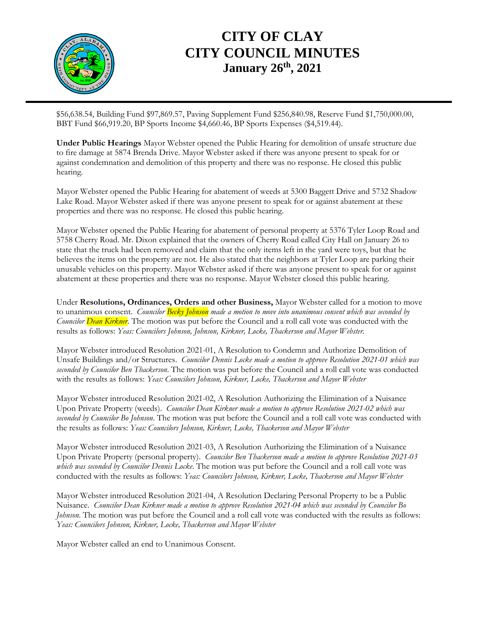

## **CITY OF CLAY CITY COUNCIL MINUTES January 26 th, 2021**

\$56,638.54, Building Fund \$97,869.57, Paving Supplement Fund \$256,840.98, Reserve Fund \$1,750,000.00, BBT Fund \$66,919.20, BP Sports Income \$4,660.46, BP Sports Expenses (\$4,519.44).

**Under Public Hearings** Mayor Webster opened the Public Hearing for demolition of unsafe structure due to fire damage at 5874 Brenda Drive. Mayor Webster asked if there was anyone present to speak for or against condemnation and demolition of this property and there was no response. He closed this public hearing.

Mayor Webster opened the Public Hearing for abatement of weeds at 5300 Baggett Drive and 5732 Shadow Lake Road. Mayor Webster asked if there was anyone present to speak for or against abatement at these properties and there was no response. He closed this public hearing.

Mayor Webster opened the Public Hearing for abatement of personal property at 5376 Tyler Loop Road and 5758 Cherry Road. Mr. Dixon explained that the owners of Cherry Road called City Hall on January 26 to state that the truck had been removed and claim that the only items left in the yard were toys, but that he believes the items on the property are not. He also stated that the neighbors at Tyler Loop are parking their unusable vehicles on this property. Mayor Webster asked if there was anyone present to speak for or against abatement at these properties and there was no response. Mayor Webster closed this public hearing.

Under **Resolutions, Ordinances, Orders and other Business,** Mayor Webster called for a motion to move to unanimous consent. *Councilor Becky Johnson made a motion to move into unanimous consent which was seconded by Councilor Dean Kirkner*. The motion was put before the Council and a roll call vote was conducted with the results as follows: *Yeas: Councilors Johnson, Johnson, Kirkner, Locke, Thackerson and Mayor Webster.*

Mayor Webster introduced Resolution 2021-01, A Resolution to Condemn and Authorize Demolition of Unsafe Buildings and/or Structures. *Councilor Dennis Locke made a motion to approve Resolution 2021-01 which was seconded by Councilor Ben Thackerson*. The motion was put before the Council and a roll call vote was conducted with the results as follows: *Yeas: Councilors Johnson, Kirkner, Locke, Thackerson and Mayor Webster*

Mayor Webster introduced Resolution 2021-02, A Resolution Authorizing the Elimination of a Nuisance Upon Private Property (weeds). *Councilor Dean Kirkner made a motion to approve Resolution 2021-02 which was seconded by Councilor Bo Johnson*. The motion was put before the Council and a roll call vote was conducted with the results as follows: *Yeas: Councilors Johnson, Kirkner, Locke, Thackerson and Mayor Webster*

Mayor Webster introduced Resolution 2021-03, A Resolution Authorizing the Elimination of a Nuisance Upon Private Property (personal property). *Councilor Ben Thackerson made a motion to approve Resolution 2021-03 which was seconded by Councilor Dennis Locke*. The motion was put before the Council and a roll call vote was conducted with the results as follows: *Yeas: Councilors Johnson, Kirkner, Locke, Thackerson and Mayor Webster*

Mayor Webster introduced Resolution 2021-04, A Resolution Declaring Personal Property to be a Public Nuisance. *Councilor Dean Kirkner made a motion to approve Resolution 2021-04 which was seconded by Councilor Bo Johnson*. The motion was put before the Council and a roll call vote was conducted with the results as follows: *Yeas: Councilors Johnson, Kirkner, Locke, Thackerson and Mayor Webster*

Mayor Webster called an end to Unanimous Consent.